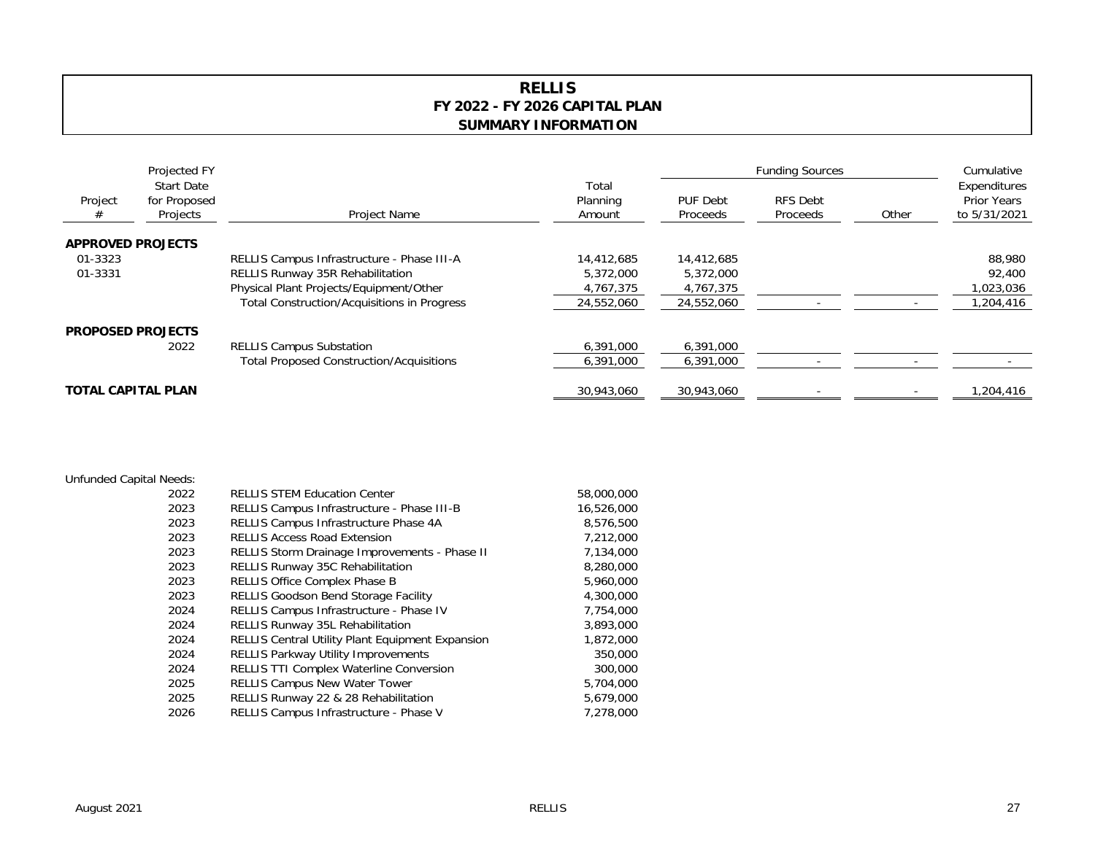## **RELLIS FY 2022 - FY 2026 CAPITAL PLAN SUMMARY INFORMATION**

| Project                   | Projected FY<br><b>Start Date</b><br>for Proposed<br>Projects | Project Name                                       | Total<br>Planning<br>Amount | <b>Funding Sources</b> |                      |       | Cumulative                                         |
|---------------------------|---------------------------------------------------------------|----------------------------------------------------|-----------------------------|------------------------|----------------------|-------|----------------------------------------------------|
|                           |                                                               |                                                    |                             | PUF Debt<br>Proceeds   | RFS Debt<br>Proceeds | Other | Expenditures<br><b>Prior Years</b><br>to 5/31/2021 |
| <b>APPROVED PROJECTS</b>  |                                                               |                                                    |                             |                        |                      |       |                                                    |
| 01-3323                   |                                                               | RELLIS Campus Infrastructure - Phase III-A         | 14,412,685                  | 14,412,685             |                      |       | 88,980                                             |
| 01-3331                   |                                                               | <b>RELLIS Runway 35R Rehabilitation</b>            | 5,372,000                   | 5,372,000              |                      |       | 92,400                                             |
|                           |                                                               | Physical Plant Projects/Equipment/Other            | 4,767,375                   | 4,767,375              |                      |       | ,023,036                                           |
|                           |                                                               | <b>Total Construction/Acquisitions in Progress</b> | 24,552,060                  | 24,552,060             |                      |       | ,204,416                                           |
| <b>PROPOSED PROJECTS</b>  |                                                               |                                                    |                             |                        |                      |       |                                                    |
|                           | 2022                                                          | <b>RELLIS Campus Substation</b>                    | 6,391,000                   | 6,391,000              |                      |       |                                                    |
|                           |                                                               | <b>Total Proposed Construction/Acquisitions</b>    | 6,391,000                   | 6,391,000              |                      |       |                                                    |
| <b>TOTAL CAPITAL PLAN</b> |                                                               |                                                    | 30,943,060                  | 30,943,060             |                      |       | 416, 204, ا                                        |

## Unfunded Capital Needs:

| 2022 | <b>RELLIS STEM Education Center</b>                     | 58,000,000 |
|------|---------------------------------------------------------|------------|
| 2023 | RELLIS Campus Infrastructure - Phase III-B              | 16,526,000 |
| 2023 | RELLIS Campus Infrastructure Phase 4A                   | 8,576,500  |
| 2023 | <b>RELLIS Access Road Extension</b>                     | 7,212,000  |
| 2023 | RELLIS Storm Drainage Improvements - Phase II           | 7,134,000  |
| 2023 | <b>RELLIS Runway 35C Rehabilitation</b>                 | 8,280,000  |
| 2023 | <b>RELLIS Office Complex Phase B</b>                    | 5,960,000  |
| 2023 | <b>RELLIS Goodson Bend Storage Facility</b>             | 4,300,000  |
| 2024 | RELLIS Campus Infrastructure - Phase IV                 | 7.754.000  |
| 2024 | <b>RELLIS Runway 35L Rehabilitation</b>                 | 3,893,000  |
| 2024 | <b>RELLIS Central Utility Plant Equipment Expansion</b> | 1,872,000  |
| 2024 | <b>RELLIS Parkway Utility Improvements</b>              | 350,000    |
| 2024 | <b>RELLIS TTI Complex Waterline Conversion</b>          | 300,000    |
| 2025 | <b>RELLIS Campus New Water Tower</b>                    | 5,704,000  |
| 2025 | RELLIS Runway 22 & 28 Rehabilitation                    | 5.679.000  |
| 2026 | RELLIS Campus Infrastructure - Phase V                  | 7,278,000  |